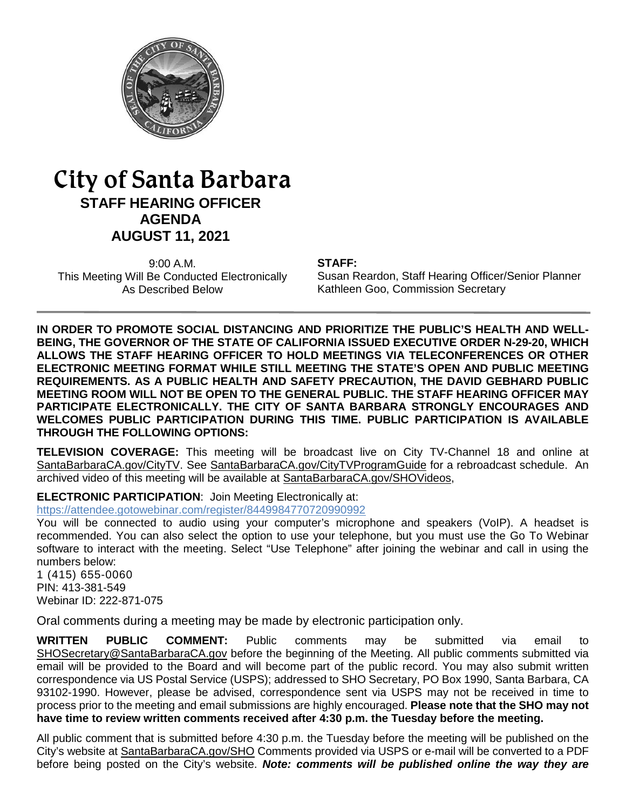

# City of Santa Barbara **STAFF HEARING OFFICER AGENDA AUGUST 11, 2021**

9:00 A.M. This Meeting Will Be Conducted Electronically As Described Below

#### **STAFF:**

Susan Reardon, Staff Hearing Officer/Senior Planner Kathleen Goo, Commission Secretary

**IN ORDER TO PROMOTE SOCIAL DISTANCING AND PRIORITIZE THE PUBLIC'S HEALTH AND WELL-BEING, THE GOVERNOR OF THE STATE OF CALIFORNIA ISSUED EXECUTIVE ORDER N-29-20, WHICH ALLOWS THE STAFF HEARING OFFICER TO HOLD MEETINGS VIA TELECONFERENCES OR OTHER ELECTRONIC MEETING FORMAT WHILE STILL MEETING THE STATE'S OPEN AND PUBLIC MEETING REQUIREMENTS. AS A PUBLIC HEALTH AND SAFETY PRECAUTION, THE DAVID GEBHARD PUBLIC MEETING ROOM WILL NOT BE OPEN TO THE GENERAL PUBLIC. THE STAFF HEARING OFFICER MAY PARTICIPATE ELECTRONICALLY. THE CITY OF SANTA BARBARA STRONGLY ENCOURAGES AND WELCOMES PUBLIC PARTICIPATION DURING THIS TIME. PUBLIC PARTICIPATION IS AVAILABLE THROUGH THE FOLLOWING OPTIONS:**

**TELEVISION COVERAGE:** This meeting will be broadcast live on City TV-Channel 18 and online at [SantaBarbaraCA.gov/CityTV.](http://www.santabarbaraca.gov/CityTV) See [SantaBarbaraCA.gov/CityTVProgramGuide](http://www.santabarbaraca.gov/CityTVProgramGuide) for a rebroadcast schedule. An archived video of this meeting will be available at [SantaBarbaraCA.gov/SHOVideos,](http://www.santabarbaraca.gov/SHOVideos)

**ELECTRONIC PARTICIPATION**: Join Meeting Electronically at:

<https://attendee.gotowebinar.com/register/8449984770720990992>

You will be connected to audio using your computer's microphone and speakers (VoIP). A headset is recommended. You can also select the option to use your telephone, but you must use the Go To Webinar software to interact with the meeting. Select "Use Telephone" after joining the webinar and call in using the numbers below:

1 (415) 655-0060 PIN: 413-381-549 Webinar ID: 222-871-075

Oral comments during a meeting may be made by electronic participation only.

**WRITTEN PUBLIC COMMENT:** Public comments may be submitted via email to [SHOSecretary@SantaBarbaraCA.gov](mailto:SHOSecretary@SantaBarbaraCA.gov) before the beginning of the Meeting. All public comments submitted via email will be provided to the Board and will become part of the public record. You may also submit written correspondence via US Postal Service (USPS); addressed to SHO Secretary, PO Box 1990, Santa Barbara, CA 93102-1990. However, please be advised, correspondence sent via USPS may not be received in time to process prior to the meeting and email submissions are highly encouraged. **Please note that the SHO may not have time to review written comments received after 4:30 p.m. the Tuesday before the meeting.**

All public comment that is submitted before 4:30 p.m. the Tuesday before the meeting will be published on the City's website at [SantaBarbaraCA.gov/SHO](http://www.santabarbaraca.gov/SHO) Comments provided via USPS or e-mail will be converted to a PDF before being posted on the City's website. *Note: comments will be published online the way they are*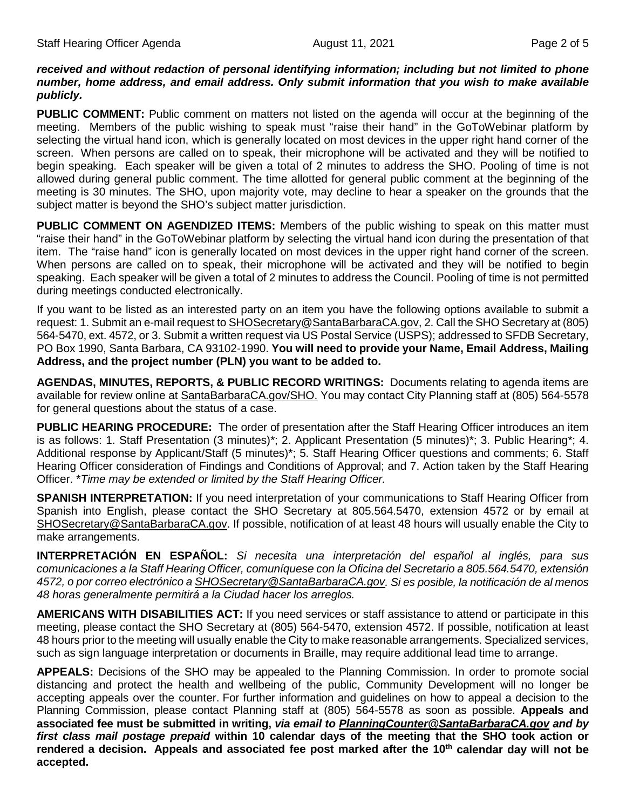#### *received and without redaction of personal identifying information; including but not limited to phone number, home address, and email address. Only submit information that you wish to make available publicly.*

**PUBLIC COMMENT:** Public comment on matters not listed on the agenda will occur at the beginning of the meeting. Members of the public wishing to speak must "raise their hand" in the GoToWebinar platform by selecting the virtual hand icon, which is generally located on most devices in the upper right hand corner of the screen. When persons are called on to speak, their microphone will be activated and they will be notified to begin speaking. Each speaker will be given a total of 2 minutes to address the SHO. Pooling of time is not allowed during general public comment. The time allotted for general public comment at the beginning of the meeting is 30 minutes. The SHO, upon majority vote, may decline to hear a speaker on the grounds that the subject matter is beyond the SHO's subject matter jurisdiction.

**PUBLIC COMMENT ON AGENDIZED ITEMS:** Members of the public wishing to speak on this matter must "raise their hand" in the GoToWebinar platform by selecting the virtual hand icon during the presentation of that item. The "raise hand" icon is generally located on most devices in the upper right hand corner of the screen. When persons are called on to speak, their microphone will be activated and they will be notified to begin speaking. Each speaker will be given a total of 2 minutes to address the Council. Pooling of time is not permitted during meetings conducted electronically.

If you want to be listed as an interested party on an item you have the following options available to submit a request: 1. Submit an e-mail request t[o SHOSecretary@SantaBarbaraCA.gov,](mailto:SHOSecretary@SantaBarbaraCA.gov) 2. Call the SHO Secretary at (805) 564-5470, ext. 4572, or 3. Submit a written request via US Postal Service (USPS); addressed to SFDB Secretary, PO Box 1990, Santa Barbara, CA 93102-1990. **You will need to provide your Name, Email Address, Mailing Address, and the project number (PLN) you want to be added to.**

**AGENDAS, MINUTES, REPORTS, & PUBLIC RECORD WRITINGS:** Documents relating to agenda items are available for review online at [SantaBarbaraCA.gov/SHO.](http://www.santabarbaraca.gov/SHO) You may contact City Planning staff at (805) 564-5578 for general questions about the status of a case.

**PUBLIC HEARING PROCEDURE:** The order of presentation after the Staff Hearing Officer introduces an item is as follows: 1. Staff Presentation (3 minutes)\*; 2. Applicant Presentation (5 minutes)\*; 3. Public Hearing\*; 4. Additional response by Applicant/Staff (5 minutes)\*; 5. Staff Hearing Officer questions and comments; 6. Staff Hearing Officer consideration of Findings and Conditions of Approval; and 7. Action taken by the Staff Hearing Officer. \**Time may be extended or limited by the Staff Hearing Officer.*

**SPANISH INTERPRETATION:** If you need interpretation of your communications to Staff Hearing Officer from Spanish into English, please contact the SHO Secretary at 805.564.5470, extension 4572 or by email at [SHOSecretary@SantaBarbaraCA.gov.](mailto:SHOSecretary@SantaBarbaraCA.gov) If possible, notification of at least 48 hours will usually enable the City to make arrangements.

**INTERPRETACIÓN EN ESPAÑOL:** *Si necesita una interpretación del español al inglés, para sus comunicaciones a la Staff Hearing Officer, comuníquese con la Oficina del Secretario a 805.564.5470, extensión 4572, o por correo electrónico [a SHOSecretary@SantaBarbaraCA.gov.](mailto:SHOSecretary@SantaBarbaraCA.gov) Si es posible, la notificación de al menos 48 horas generalmente permitirá a la Ciudad hacer los arreglos.*

**AMERICANS WITH DISABILITIES ACT:** If you need services or staff assistance to attend or participate in this meeting, please contact the SHO Secretary at (805) 564-5470, extension 4572. If possible, notification at least 48 hours prior to the meeting will usually enable the City to make reasonable arrangements. Specialized services, such as sign language interpretation or documents in Braille, may require additional lead time to arrange.

**APPEALS:** Decisions of the SHO may be appealed to the Planning Commission. In order to promote social distancing and protect the health and wellbeing of the public, Community Development will no longer be accepting appeals over the counter. For further information and guidelines on how to appeal a decision to the Planning Commission, please contact Planning staff at (805) 564-5578 as soon as possible. **Appeals and associated fee must be submitted in writing,** *via email to [PlanningCounter@SantaBarbaraCA.gov](mailto:PlanningCounter@SantaBarbaraCA.gov) and by first class mail postage prepaid* **within 10 calendar days of the meeting that the SHO took action or**  rendered a decision. Appeals and associated fee post marked after the 10<sup>th</sup> calendar day will not be **accepted.**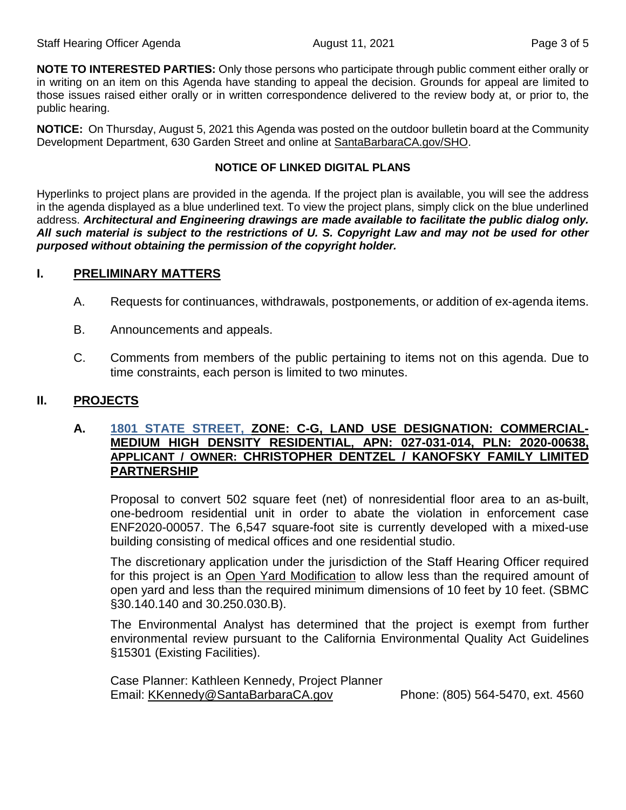**NOTE TO INTERESTED PARTIES:** Only those persons who participate through public comment either orally or in writing on an item on this Agenda have standing to appeal the decision. Grounds for appeal are limited to those issues raised either orally or in written correspondence delivered to the review body at, or prior to, the public hearing.

**NOTICE:** On Thursday, August 5, 2021 this Agenda was posted on the outdoor bulletin board at the Community Development Department, 630 Garden Street and online at [SantaBarbaraCA.gov/SHO.](http://www.santabarbaraca.gov/SHO)

## **NOTICE OF LINKED DIGITAL PLANS**

Hyperlinks to project plans are provided in the agenda. If the project plan is available, you will see the address in the agenda displayed as a blue underlined text. To view the project plans, simply click on the blue underlined address. *Architectural and Engineering drawings are made available to facilitate the public dialog only. All such material is subject to the restrictions of U. S. Copyright Law and may not be used for other purposed without obtaining the permission of the copyright holder.*

## **I. PRELIMINARY MATTERS**

- A. Requests for continuances, withdrawals, postponements, or addition of ex-agenda items.
- B. Announcements and appeals.
- C. Comments from members of the public pertaining to items not on this agenda. Due to time constraints, each person is limited to two minutes.

## **II. PROJECTS**

## **A. [1801 STATE STREET,](https://www.santabarbaraca.gov/civicax/filebank/blobdload.aspx?BlobID=238377) ZONE: C-G, LAND USE DESIGNATION: COMMERCIAL-MEDIUM HIGH DENSITY RESIDENTIAL, APN: 027-031-014, PLN: 2020-00638, APPLICANT / OWNER: CHRISTOPHER DENTZEL / KANOFSKY FAMILY LIMITED PARTNERSHIP**

Proposal to convert 502 square feet (net) of nonresidential floor area to an as-built, one-bedroom residential unit in order to abate the violation in enforcement case ENF2020-00057. The 6,547 square-foot site is currently developed with a mixed-use building consisting of medical offices and one residential studio.

The discretionary application under the jurisdiction of the Staff Hearing Officer required for this project is an Open Yard Modification to allow less than the required amount of open yard and less than the required minimum dimensions of 10 feet by 10 feet. (SBMC §30.140.140 and 30.250.030.B).

The Environmental Analyst has determined that the project is exempt from further environmental review pursuant to the California Environmental Quality Act Guidelines §15301 (Existing Facilities).

Case Planner: Kathleen Kennedy, Project Planner Email: [KKennedy@SantaBarbaraCA.gov](mailto:KKennedy@SantaBarbaraCA.gov) Phone: (805) 564-5470, ext. 4560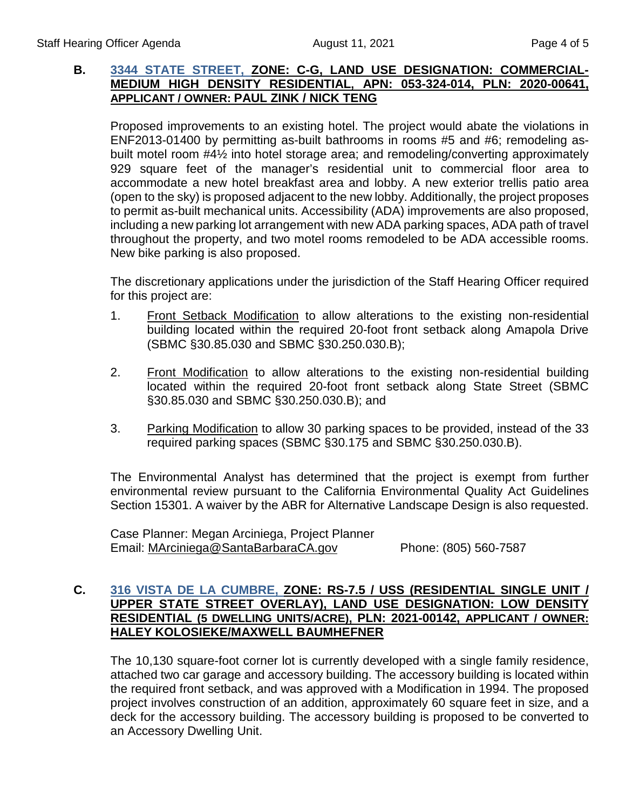# **B. [3344 STATE STREET,](https://www.santabarbaraca.gov/civicax/filebank/blobdload.aspx?BlobID=238381) ZONE: C-G, LAND USE DESIGNATION: COMMERCIAL-MEDIUM HIGH DENSITY RESIDENTIAL, APN: 053-324-014, PLN: 2020-00641, APPLICANT / OWNER: PAUL ZINK / NICK TENG**

Proposed improvements to an existing hotel. The project would abate the violations in ENF2013-01400 by permitting as-built bathrooms in rooms #5 and #6; remodeling asbuilt motel room #4½ into hotel storage area; and remodeling/converting approximately 929 square feet of the manager's residential unit to commercial floor area to accommodate a new hotel breakfast area and lobby. A new exterior trellis patio area (open to the sky) is proposed adjacent to the new lobby. Additionally, the project proposes to permit as-built mechanical units. Accessibility (ADA) improvements are also proposed, including a new parking lot arrangement with new ADA parking spaces, ADA path of travel throughout the property, and two motel rooms remodeled to be ADA accessible rooms. New bike parking is also proposed.

The discretionary applications under the jurisdiction of the Staff Hearing Officer required for this project are:

- 1. Front Setback Modification to allow alterations to the existing non-residential building located within the required 20-foot front setback along Amapola Drive (SBMC §30.85.030 and SBMC §30.250.030.B);
- 2. Front Modification to allow alterations to the existing non-residential building located within the required 20-foot front setback along State Street (SBMC §30.85.030 and SBMC §30.250.030.B); and
- 3. Parking Modification to allow 30 parking spaces to be provided, instead of the 33 required parking spaces (SBMC §30.175 and SBMC §30.250.030.B).

The Environmental Analyst has determined that the project is exempt from further environmental review pursuant to the California Environmental Quality Act Guidelines Section 15301. A waiver by the ABR for Alternative Landscape Design is also requested.

Case Planner: Megan Arciniega, Project Planner Email: [MArciniega@SantaBarbaraCA.gov](mailto:MArciniega@SantaBarbaraCA.gov) Phone: (805) 560-7587

# **C. [316 VISTA DE LA CUMBRE,](https://www.santabarbaraca.gov/SBdocuments/Advisory_Groups/Staff_Hearing_Officer/Archive/2021_Archives/03_Architectural_Drawings/2021-08-11_August_11_2021_316_Vista_De_La_Cumbre.pdf) ZONE: RS-7.5 / USS (RESIDENTIAL SINGLE UNIT / UPPER STATE STREET OVERLAY), LAND USE DESIGNATION: LOW DENSITY RESIDENTIAL (5 DWELLING UNITS/ACRE), PLN: 2021-00142, APPLICANT / OWNER: HALEY KOLOSIEKE/MAXWELL BAUMHEFNER**

The 10,130 square-foot corner lot is currently developed with a single family residence, attached two car garage and accessory building. The accessory building is located within the required front setback, and was approved with a Modification in 1994. The proposed project involves construction of an addition, approximately 60 square feet in size, and a deck for the accessory building. The accessory building is proposed to be converted to an Accessory Dwelling Unit.